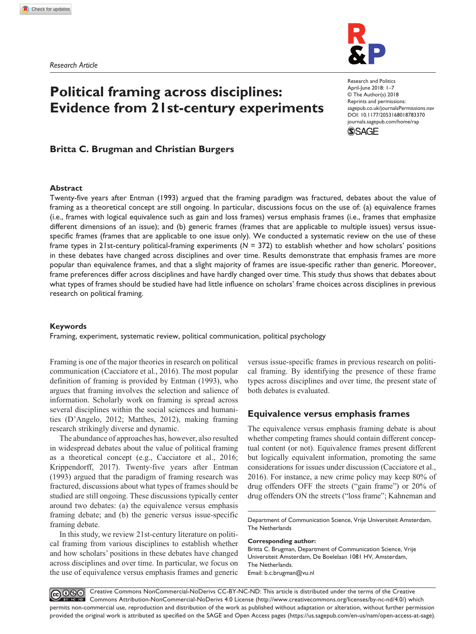

# **Political framing across disciplines: Evidence from 21st-century experiments**

DOI: 10.1177/2053168018783370 Research and Politics April-June 2018: 1–7 © The Author(s) 2018 Reprints and permissions: [sagepub.co.uk/journalsPermissions.nav](https://uk.sagepub.com/en-gb/journals-permissions) [journals.sagepub.com/home/rap](http://journals.sagepub.com/home/rap)



# **Britta C. Brugman and Christian Burgers**

## **Abstract**

Twenty-five years after Entman (1993) argued that the framing paradigm was fractured, debates about the value of framing as a theoretical concept are still ongoing. In particular, discussions focus on the use of: (a) equivalence frames (i.e., frames with logical equivalence such as gain and loss frames) versus emphasis frames (i.e., frames that emphasize different dimensions of an issue); and (b) generic frames (frames that are applicable to multiple issues) versus issuespecific frames (frames that are applicable to one issue only). We conducted a systematic review on the use of these frame types in 21st-century political-framing experiments (*N* = 372) to establish whether and how scholars' positions in these debates have changed across disciplines and over time. Results demonstrate that emphasis frames are more popular than equivalence frames, and that a slight majority of frames are issue-specific rather than generic. Moreover, frame preferences differ across disciplines and have hardly changed over time. This study thus shows that debates about what types of frames should be studied have had little influence on scholars' frame choices across disciplines in previous research on political framing.

### **Keywords**

Framing, experiment, systematic review, political communication, political psychology

Framing is one of the major theories in research on political communication (Cacciatore et al., 2016). The most popular definition of framing is provided by Entman (1993), who argues that framing involves the selection and salience of information. Scholarly work on framing is spread across several disciplines within the social sciences and humanities (D'Angelo, 2012; Matthes, 2012), making framing research strikingly diverse and dynamic.

The abundance of approaches has, however, also resulted in widespread debates about the value of political framing as a theoretical concept (e.g., Cacciatore et al., 2016; Krippendorff, 2017). Twenty-five years after Entman (1993) argued that the paradigm of framing research was fractured, discussions about what types of frames should be studied are still ongoing. These discussions typically center around two debates: (a) the equivalence versus emphasis framing debate; and (b) the generic versus issue-specific framing debate.

In this study, we review 21st-century literature on political framing from various disciplines to establish whether and how scholars' positions in these debates have changed across disciplines and over time. In particular, we focus on the use of equivalence versus emphasis frames and generic

versus issue-specific frames in previous research on political framing. By identifying the presence of these frame types across disciplines and over time, the present state of both debates is evaluated.

# **Equivalence versus emphasis frames**

The equivalence versus emphasis framing debate is about whether competing frames should contain different conceptual content (or not). Equivalence frames present different but logically equivalent information, promoting the same considerations for issues under discussion (Cacciatore et al., 2016). For instance, a new crime policy may keep 80% of drug offenders OFF the streets ("gain frame") or 20% of drug offenders ON the streets ("loss frame"; Kahneman and

**Corresponding author:**

Britta C. Brugman, Department of Communication Science, Vrije Universiteit Amsterdam, De Boelelaan 1081 HV, Amsterdam, The Netherlands. Email: b.c.brugman@vu.nl

Creative Commons NonCommercial-NoDerivs CC-BY-NC-ND: This article is distributed under the terms of the Creative **@000** Commons Attribution-NonCommercial-NoDerivs 4.0 License (http://www.creativecommons.org/licenses/by-nc-nd/4.0/) which permits non-commercial use, reproduction and distribution of the work as published without adaptation or alteration, without further permission provided the original work is attributed as specified on the SAGE and Open Access pages (https://us.sagepub.com/en-us/nam/open-access-at-sage).

Department of Communication Science, Vrije Universiteit Amsterdam, The Netherlands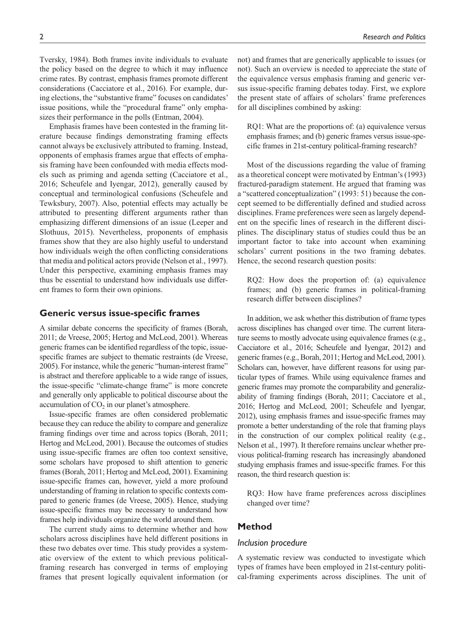Tversky, 1984). Both frames invite individuals to evaluate the policy based on the degree to which it may influence crime rates. By contrast, emphasis frames promote different considerations (Cacciatore et al., 2016). For example, during elections, the "substantive frame" focuses on candidates' issue positions, while the "procedural frame" only emphasizes their performance in the polls (Entman, 2004).

Emphasis frames have been contested in the framing literature because findings demonstrating framing effects cannot always be exclusively attributed to framing. Instead, opponents of emphasis frames argue that effects of emphasis framing have been confounded with media effects models such as priming and agenda setting (Cacciatore et al., 2016; Scheufele and Iyengar, 2012), generally caused by conceptual and terminological confusions (Scheufele and Tewksbury, 2007). Also, potential effects may actually be attributed to presenting different arguments rather than emphasizing different dimensions of an issue (Leeper and Slothuus, 2015). Nevertheless, proponents of emphasis frames show that they are also highly useful to understand how individuals weigh the often conflicting considerations that media and political actors provide (Nelson et al., 1997). Under this perspective, examining emphasis frames may thus be essential to understand how individuals use different frames to form their own opinions.

# **Generic versus issue-specific frames**

A similar debate concerns the specificity of frames (Borah, 2011; de Vreese, 2005; Hertog and McLeod, 2001). Whereas generic frames can be identified regardless of the topic, issuespecific frames are subject to thematic restraints (de Vreese, 2005). For instance, while the generic "human-interest frame" is abstract and therefore applicable to a wide range of issues, the issue-specific "climate-change frame" is more concrete and generally only applicable to political discourse about the accumulation of  $CO<sub>2</sub>$  in our planet's atmosphere.

Issue-specific frames are often considered problematic because they can reduce the ability to compare and generalize framing findings over time and across topics (Borah, 2011; Hertog and McLeod, 2001). Because the outcomes of studies using issue-specific frames are often too context sensitive, some scholars have proposed to shift attention to generic frames (Borah, 2011; Hertog and McLeod, 2001). Examining issue-specific frames can, however, yield a more profound understanding of framing in relation to specific contexts compared to generic frames (de Vreese, 2005). Hence, studying issue-specific frames may be necessary to understand how frames help individuals organize the world around them.

The current study aims to determine whether and how scholars across disciplines have held different positions in these two debates over time. This study provides a systematic overview of the extent to which previous politicalframing research has converged in terms of employing frames that present logically equivalent information (or not) and frames that are generically applicable to issues (or not). Such an overview is needed to appreciate the state of the equivalence versus emphasis framing and generic versus issue-specific framing debates today. First, we explore the present state of affairs of scholars' frame preferences for all disciplines combined by asking:

RQ1: What are the proportions of: (a) equivalence versus emphasis frames; and (b) generic frames versus issue-specific frames in 21st-century political-framing research?

Most of the discussions regarding the value of framing as a theoretical concept were motivated by Entman's (1993) fractured-paradigm statement. He argued that framing was a "scattered conceptualization" (1993: 51) because the concept seemed to be differentially defined and studied across disciplines. Frame preferences were seen as largely dependent on the specific lines of research in the different disciplines. The disciplinary status of studies could thus be an important factor to take into account when examining scholars' current positions in the two framing debates. Hence, the second research question posits:

RQ2: How does the proportion of: (a) equivalence frames; and (b) generic frames in political-framing research differ between disciplines?

In addition, we ask whether this distribution of frame types across disciplines has changed over time. The current literature seems to mostly advocate using equivalence frames (e.g., Cacciatore et al., 2016; Scheufele and Iyengar, 2012) and generic frames (e.g., Borah, 2011; Hertog and McLeod, 2001). Scholars can, however, have different reasons for using particular types of frames. While using equivalence frames and generic frames may promote the comparability and generalizability of framing findings (Borah, 2011; Cacciatore et al., 2016; Hertog and McLeod, 2001; Scheufele and Iyengar, 2012), using emphasis frames and issue-specific frames may promote a better understanding of the role that framing plays in the construction of our complex political reality (e.g., Nelson et al., 1997). It therefore remains unclear whether previous political-framing research has increasingly abandoned studying emphasis frames and issue-specific frames. For this reason, the third research question is:

RQ3: How have frame preferences across disciplines changed over time?

# **Method**

# *Inclusion procedure*

A systematic review was conducted to investigate which types of frames have been employed in 21st-century political-framing experiments across disciplines. The unit of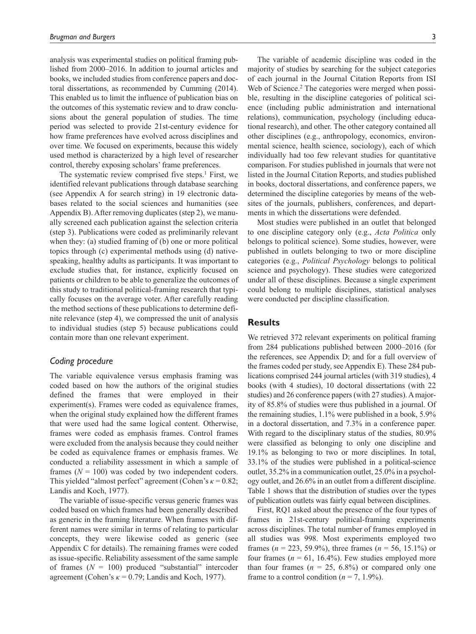analysis was experimental studies on political framing published from 2000–2016. In addition to journal articles and books, we included studies from conference papers and doctoral dissertations, as recommended by Cumming (2014). This enabled us to limit the influence of publication bias on the outcomes of this systematic review and to draw conclusions about the general population of studies. The time period was selected to provide 21st-century evidence for how frame preferences have evolved across disciplines and over time. We focused on experiments, because this widely used method is characterized by a high level of researcher control, thereby exposing scholars' frame preferences.

The systematic review comprised five steps. $<sup>1</sup>$  First, we</sup> identified relevant publications through database searching (see [Appendix A](https://journals.sagepub.com/doi/suppl/10.1177/2053168018783370) for search string) in 19 electronic databases related to the social sciences and humanities (see [Appendix B\)](https://journals.sagepub.com/doi/suppl/10.1177/2053168018783370). After removing duplicates (step 2), we manually screened each publication against the selection criteria (step 3). Publications were coded as preliminarily relevant when they: (a) studied framing of (b) one or more political topics through (c) experimental methods using (d) nativespeaking, healthy adults as participants. It was important to exclude studies that, for instance, explicitly focused on patients or children to be able to generalize the outcomes of this study to traditional political-framing research that typically focuses on the average voter. After carefully reading the method sections of these publications to determine definite relevance (step 4), we compressed the unit of analysis to individual studies (step 5) because publications could contain more than one relevant experiment.

# *Coding procedure*

The variable equivalence versus emphasis framing was coded based on how the authors of the original studies defined the frames that were employed in their experiment(s). Frames were coded as equivalence frames, when the original study explained how the different frames that were used had the same logical content. Otherwise, frames were coded as emphasis frames. Control frames were excluded from the analysis because they could neither be coded as equivalence frames or emphasis frames. We conducted a reliability assessment in which a sample of frames  $(N = 100)$  was coded by two independent coders. This yielded "almost perfect" agreement (Cohen's *κ* = 0.82; Landis and Koch, 1977).

The variable of issue-specific versus generic frames was coded based on which frames had been generally described as generic in the framing literature. When frames with different names were similar in terms of relating to particular concepts, they were likewise coded as generic (see [Appendix C](https://journals.sagepub.com/doi/suppl/10.1177/2053168018783370) for details). The remaining frames were coded as issue-specific. Reliability assessment of the same sample of frames  $(N = 100)$  produced "substantial" intercoder agreement (Cohen's  $\kappa$  = 0.79; Landis and Koch, 1977).

The variable of academic discipline was coded in the majority of studies by searching for the subject categories of each journal in the Journal Citation Reports from ISI Web of Science.<sup>2</sup> The categories were merged when possible, resulting in the discipline categories of political science (including public administration and international relations), communication, psychology (including educational research), and other. The other category contained all other disciplines (e.g., anthropology, economics, environmental science, health science, sociology), each of which individually had too few relevant studies for quantitative comparison. For studies published in journals that were not listed in the Journal Citation Reports, and studies published in books, doctoral dissertations, and conference papers, we determined the discipline categories by means of the websites of the journals, publishers, conferences, and departments in which the dissertations were defended.

Most studies were published in an outlet that belonged to one discipline category only (e.g., *Acta Politica* only belongs to political science). Some studies, however, were published in outlets belonging to two or more discipline categories (e.g., *Political Psychology* belongs to political science and psychology). These studies were categorized under all of these disciplines. Because a single experiment could belong to multiple disciplines, statistical analyses were conducted per discipline classification.

# **Results**

We retrieved 372 relevant experiments on political framing from 284 publications published between 2000–2016 (for the references, see [Appendix D;](https://journals.sagepub.com/doi/suppl/10.1177/2053168018783370) and for a full overview of the frames coded per study, see [Appendix E](https://journals.sagepub.com/doi/suppl/10.1177/2053168018783370)). These 284 publications comprised 244 journal articles (with 319 studies), 4 books (with 4 studies), 10 doctoral dissertations (with 22 studies) and 26 conference papers (with 27 studies). A majority of 85.8% of studies were thus published in a journal. Of the remaining studies, 1.1% were published in a book, 5.9% in a doctoral dissertation, and 7.3% in a conference paper. With regard to the disciplinary status of the studies,  $80.9\%$ were classified as belonging to only one discipline and 19.1% as belonging to two or more disciplines. In total, 33.1% of the studies were published in a political-science outlet, 35.2% in a communication outlet, 25.0% in a psychology outlet, and 26.6% in an outlet from a different discipline. Table 1 shows that the distribution of studies over the types of publication outlets was fairly equal between disciplines.

First, RQ1 asked about the presence of the four types of frames in 21st-century political-framing experiments across disciplines. The total number of frames employed in all studies was 998. Most experiments employed two frames ( $n = 223, 59.9\%$ ), three frames ( $n = 56, 15.1\%$ ) or four frames  $(n = 61, 16.4\%)$ . Few studies employed more than four frames  $(n = 25, 6.8\%)$  or compared only one frame to a control condition ( $n = 7, 1.9\%$ ).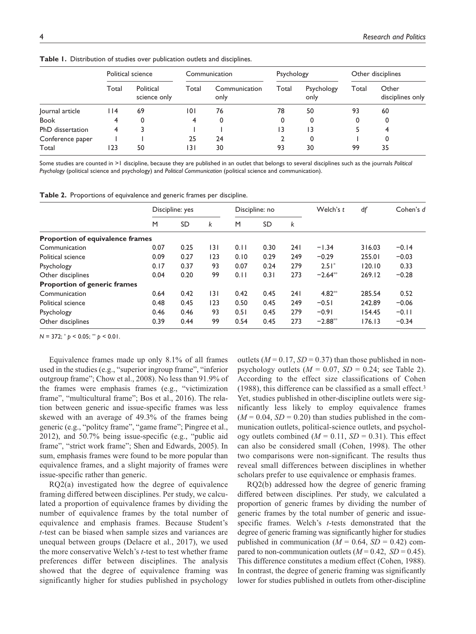|                  | Political science |                           | Communication |                       | Psychology |                    | Other disciplines |                           |
|------------------|-------------------|---------------------------|---------------|-----------------------|------------|--------------------|-------------------|---------------------------|
|                  | Total             | Political<br>science only | Total         | Communication<br>only | Total      | Psychology<br>only | Total             | Other<br>disciplines only |
| Journal article  | l 14              | 69                        | 101           | 76                    | 78         | 50                 | 93                | 60                        |
| <b>Book</b>      | 4                 | 0                         | 4             | 0                     | 0          | 0                  | 0                 | 0                         |
| PhD dissertation | 4                 |                           |               |                       | 13         | 13                 |                   |                           |
| Conference paper |                   |                           | 25            | 24                    |            | 0                  |                   | 0                         |
| Total            | 123               | 50                        | 13 I          | 30                    | 93         | 30                 | 99                | 35                        |

**Table 1.** Distribution of studies over publication outlets and disciplines.

Some studies are counted in >1 discipline, because they are published in an outlet that belongs to several disciplines such as the journals *Political Psychology* (political science and psychology) and *Political Communication* (political science and communication).

**Table 2.** Proportions of equivalence and generic frames per discipline.

|                                         | Discipline: yes |      | Discipline: no |      |           | Welch's t | df        | Cohen's d |         |
|-----------------------------------------|-----------------|------|----------------|------|-----------|-----------|-----------|-----------|---------|
|                                         | M               | SD   | k              | M    | <b>SD</b> | k         |           |           |         |
| <b>Proportion of equivalence frames</b> |                 |      |                |      |           |           |           |           |         |
| Communication                           | 0.07            | 0.25 | 3              | 0.11 | 0.30      | 24 I      | $-1.34$   | 316.03    | $-0.14$ |
| Political science                       | 0.09            | 0.27 | 123            | 0.10 | 0.29      | 249       | $-0.29$   | 255.01    | $-0.03$ |
| Psychology                              | 0.17            | 0.37 | 93             | 0.07 | 0.24      | 279       | $2.51*$   | 120.10    | 0.33    |
| Other disciplines                       | 0.04            | 0.20 | 99             | 0.11 | 0.31      | 273       | $-2.64**$ | 269.12    | $-0.28$ |
| <b>Proportion of generic frames</b>     |                 |      |                |      |           |           |           |           |         |
| Communication                           | 0.64            | 0.42 | 3              | 0.42 | 0.45      | 241       | $4.82**$  | 285.54    | 0.52    |
| Political science                       | 0.48            | 0.45 | 123            | 0.50 | 0.45      | 249       | $-0.51$   | 242.89    | $-0.06$ |
| Psychology                              | 0.46            | 0.46 | 93             | 0.51 | 0.45      | 279       | $-0.91$   | 154.45    | $-0.11$ |
| Other disciplines                       | 0.39            | 0.44 | 99             | 0.54 | 0.45      | 273       | $-2.88**$ | 176.13    | $-0.34$ |

*N* = 372; \* *p* < 0.05; \*\* *p* < 0.01.

Equivalence frames made up only 8.1% of all frames used in the studies (e.g., "superior ingroup frame", "inferior outgroup frame"; Chow et al., 2008). No less than 91.9% of the frames were emphasis frames (e.g., "victimization frame", "multicultural frame"; Bos et al., 2016). The relation between generic and issue-specific frames was less skewed with an average of 49.3% of the frames being generic (e.g., "politcy frame", "game frame"; Pingree et al., 2012), and 50.7% being issue-specific (e.g., "public aid frame", "strict work frame"; Shen and Edwards, 2005). In sum, emphasis frames were found to be more popular than equivalence frames, and a slight majority of frames were issue-specific rather than generic.

RQ2(a) investigated how the degree of equivalence framing differed between disciplines. Per study, we calculated a proportion of equivalence frames by dividing the number of equivalence frames by the total number of equivalence and emphasis frames. Because Student's *t*-test can be biased when sample sizes and variances are unequal between groups (Delacre et al., 2017), we used the more conservative Welch's *t*-test to test whether frame preferences differ between disciplines. The analysis showed that the degree of equivalence framing was significantly higher for studies published in psychology

outlets ( $M = 0.17$ ,  $SD = 0.37$ ) than those published in nonpsychology outlets  $(M = 0.07, SD = 0.24$ ; see Table 2). According to the effect size classifications of Cohen (1988), this difference can be classified as a small effect.3 Yet, studies published in other-discipline outlets were significantly less likely to employ equivalence frames  $(M = 0.04, SD = 0.20)$  than studies published in the communication outlets, political-science outlets, and psychology outlets combined  $(M = 0.11, SD = 0.31)$ . This effect can also be considered small (Cohen, 1998). The other two comparisons were non-significant. The results thus reveal small differences between disciplines in whether scholars prefer to use equivalence or emphasis frames.

RQ2(b) addressed how the degree of generic framing differed between disciplines. Per study, we calculated a proportion of generic frames by dividing the number of generic frames by the total number of generic and issuespecific frames. Welch's *t*-tests demonstrated that the degree of generic framing was significantly higher for studies published in communication ( $M = 0.64$ ,  $SD = 0.42$ ) compared to non-communication outlets  $(M = 0.42, SD = 0.45)$ . This difference constitutes a medium effect (Cohen, 1988). In contrast, the degree of generic framing was significantly lower for studies published in outlets from other-discipline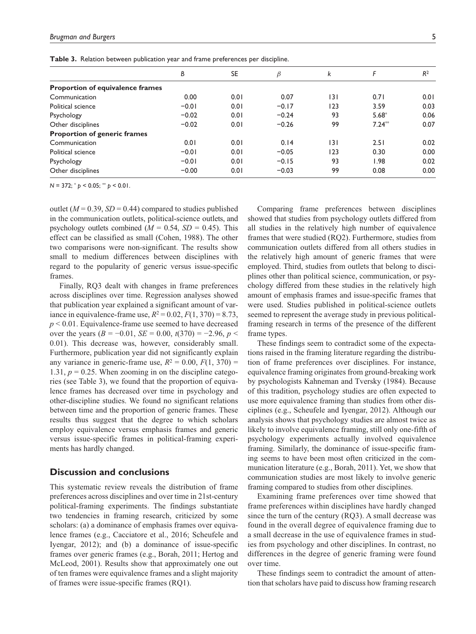| <b>Table 3.</b> Relation between publication year and frame preferences per discipline. |  |  |  |
|-----------------------------------------------------------------------------------------|--|--|--|
|-----------------------------------------------------------------------------------------|--|--|--|

|                                         | В       | <b>SE</b> | $\beta$ | k   | F        | R <sup>2</sup> |
|-----------------------------------------|---------|-----------|---------|-----|----------|----------------|
| <b>Proportion of equivalence frames</b> |         |           |         |     |          |                |
| Communication                           | 0.00    | 0.01      | 0.07    | 3   | 0.71     | 0.01           |
| Political science                       | $-0.01$ | 0.01      | $-0.17$ | 123 | 3.59     | 0.03           |
| Psychology                              | $-0.02$ | 0.01      | $-0.24$ | 93  | $5.68*$  | 0.06           |
| Other disciplines                       | $-0.02$ | 0.01      | $-0.26$ | 99  | $7.24**$ | 0.07           |
| <b>Proportion of generic frames</b>     |         |           |         |     |          |                |
| Communication                           | 0.01    | 0.01      | 0.14    | 3   | 2.51     | 0.02           |
| Political science                       | $-0.01$ | 0.01      | $-0.05$ | 123 | 0.30     | 0.00           |
| Psychology                              | $-0.01$ | 0.01      | $-0.15$ | 93  | 98. ا    | 0.02           |
| Other disciplines                       | $-0.00$ | 0.01      | $-0.03$ | 99  | 0.08     | 0.00           |
|                                         |         |           |         |     |          |                |

*N* = 372; \* *p* < 0.05; \*\* *p* < 0.01.

outlet  $(M = 0.39, SD = 0.44)$  compared to studies published in the communication outlets, political-science outlets, and psychology outlets combined  $(M = 0.54, SD = 0.45)$ . This effect can be classified as small (Cohen, 1988). The other two comparisons were non-significant. The results show small to medium differences between disciplines with regard to the popularity of generic versus issue-specific frames.

Finally, RQ3 dealt with changes in frame preferences across disciplines over time. Regression analyses showed that publication year explained a significant amount of variance in equivalence-frame use,  $R^2 = 0.02$ ,  $F(1, 370) = 8.73$ , *p* < 0.01. Equivalence-frame use seemed to have decreased over the years  $(B = -0.01, SE = 0.00, t(370) = -2.96, p <$ 0.01). This decrease was, however, considerably small. Furthermore, publication year did not significantly explain any variance in generic-frame use,  $R^2 = 0.00$ ,  $F(1, 370) =$ 1.31,  $p = 0.25$ . When zooming in on the discipline categories (see Table 3), we found that the proportion of equivalence frames has decreased over time in psychology and other-discipline studies. We found no significant relations between time and the proportion of generic frames. These results thus suggest that the degree to which scholars employ equivalence versus emphasis frames and generic versus issue-specific frames in political-framing experiments has hardly changed.

# **Discussion and conclusions**

This systematic review reveals the distribution of frame preferences across disciplines and over time in 21st-century political-framing experiments. The findings substantiate two tendencies in framing research, criticized by some scholars: (a) a dominance of emphasis frames over equivalence frames (e.g., Cacciatore et al., 2016; Scheufele and Iyengar, 2012); and (b) a dominance of issue-specific frames over generic frames (e.g., Borah, 2011; Hertog and McLeod, 2001). Results show that approximately one out of ten frames were equivalence frames and a slight majority of frames were issue-specific frames (RQ1).

Comparing frame preferences between disciplines showed that studies from psychology outlets differed from all studies in the relatively high number of equivalence frames that were studied (RQ2). Furthermore, studies from communication outlets differed from all others studies in the relatively high amount of generic frames that were employed. Third, studies from outlets that belong to disciplines other than political science, communication, or psychology differed from these studies in the relatively high amount of emphasis frames and issue-specific frames that were used. Studies published in political-science outlets seemed to represent the average study in previous politicalframing research in terms of the presence of the different frame types.

These findings seem to contradict some of the expectations raised in the framing literature regarding the distribution of frame preferences over disciplines. For instance, equivalence framing originates from ground-breaking work by psychologists Kahneman and Tversky (1984). Because of this tradition, psychology studies are often expected to use more equivalence framing than studies from other disciplines (e.g., Scheufele and Iyengar, 2012). Although our analysis shows that psychology studies are almost twice as likely to involve equivalence framing, still only one-fifth of psychology experiments actually involved equivalence framing. Similarly, the dominance of issue-specific framing seems to have been most often criticized in the communication literature (e.g., Borah, 2011). Yet, we show that communication studies are most likely to involve generic framing compared to studies from other disciplines.

Examining frame preferences over time showed that frame preferences within disciplines have hardly changed since the turn of the century (RQ3). A small decrease was found in the overall degree of equivalence framing due to a small decrease in the use of equivalence frames in studies from psychology and other disciplines. In contrast, no differences in the degree of generic framing were found over time.

These findings seem to contradict the amount of attention that scholars have paid to discuss how framing research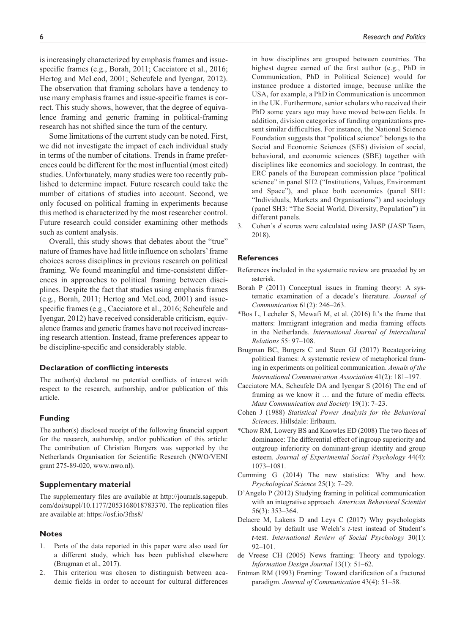is increasingly characterized by emphasis frames and issuespecific frames (e.g., Borah, 2011; Cacciatore et al., 2016; Hertog and McLeod, 2001; Scheufele and Iyengar, 2012). The observation that framing scholars have a tendency to use many emphasis frames and issue-specific frames is correct. This study shows, however, that the degree of equivalence framing and generic framing in political-framing research has not shifted since the turn of the century.

Some limitations of the current study can be noted. First, we did not investigate the impact of each individual study in terms of the number of citations. Trends in frame preferences could be different for the most influential (most cited) studies. Unfortunately, many studies were too recently published to determine impact. Future research could take the number of citations of studies into account. Second, we only focused on political framing in experiments because this method is characterized by the most researcher control. Future research could consider examining other methods such as content analysis.

Overall, this study shows that debates about the "true" nature of frames have had little influence on scholars' frame choices across disciplines in previous research on political framing. We found meaningful and time-consistent differences in approaches to political framing between disciplines. Despite the fact that studies using emphasis frames (e.g., Borah, 2011; Hertog and McLeod, 2001) and issuespecific frames (e.g., Cacciatore et al., 2016; Scheufele and Iyengar, 2012) have received considerable criticism, equivalence frames and generic frames have not received increasing research attention. Instead, frame preferences appear to be discipline-specific and considerably stable.

## **Declaration of conflicting interests**

The author(s) declared no potential conflicts of interest with respect to the research, authorship, and/or publication of this article.

### **Funding**

The author(s) disclosed receipt of the following financial support for the research, authorship, and/or publication of this article: The contribution of Christian Burgers was supported by the Netherlands Organisation for Scientific Research (NWO/VENI grant 275-89-020, www.nwo.nl).

#### **Supplementary material**

The supplementary files are available at [http://journals.sagepub.](http://journals.sagepub.com/doi/suppl/10.1177/2053168017783370) [com/doi/suppl/1](http://journals.sagepub.com/doi/suppl/10.1177/2053168017783370)0.1177/2053168018783370. The replication files are available at: <https://osf.io/3fhs8/>

#### **Notes**

- 1. Parts of the data reported in this paper were also used for a different study, which has been published elsewhere (Brugman et al., 2017).
- 2. This criterion was chosen to distinguish between academic fields in order to account for cultural differences

in how disciplines are grouped between countries. The highest degree earned of the first author (e.g., PhD in Communication, PhD in Political Science) would for instance produce a distorted image, because unlike the USA, for example, a PhD in Communication is uncommon in the UK. Furthermore, senior scholars who received their PhD some years ago may have moved between fields. In addition, division categories of funding organizations present similar difficulties. For instance, the National Science Foundation suggests that "political science" belongs to the Social and Economic Sciences (SES) division of social, behavioral, and economic sciences (SBE) together with disciplines like economics and sociology. In contrast, the ERC panels of the European commission place "political

science" in panel SH2 ("Institutions, Values, Environment and Space"), and place both economics (panel SH1: "Individuals, Markets and Organisations") and sociology (panel SH3: "The Social World, Diversity, Population") in different panels.

3. Cohen's *d* scores were calculated using JASP (JASP Team, 2018).

#### **References**

- References included in the systematic review are preceded by an asterisk.
- Borah P (2011) Conceptual issues in framing theory: A systematic examination of a decade's literature. *Journal of Communication* 61(2): 246–263.
- \*Bos L, Lecheler S, Mewafi M, et al. (2016) It's the frame that matters: Immigrant integration and media framing effects in the Netherlands. *International Journal of Intercultural Relations* 55: 97–108.
- Brugman BC, Burgers C and Steen GJ (2017) Recategorizing political frames: A systematic review of metaphorical framing in experiments on political communication. *Annals of the International Communication Association* 41(2): 181–197.
- Cacciatore MA, Scheufele DA and Iyengar S (2016) The end of framing as we know it … and the future of media effects. *Mass Communication and Society* 19(1): 7–23.
- Cohen J (1988) *Statistical Power Analysis for the Behavioral Sciences*. Hillsdale: Erlbaum.
- \*Chow RM, Lowery BS and Knowles ED (2008) The two faces of dominance: The differential effect of ingroup superiority and outgroup inferiority on dominant-group identity and group esteem. *Journal of Experimental Social Psychology* 44(4): 1073–1081.
- Cumming G (2014) The new statistics: Why and how. *Psychological Science* 25(1): 7–29.
- D'Angelo P (2012) Studying framing in political communication with an integrative approach. *American Behavioral Scientist* 56(3): 353–364.
- Delacre M, Lakens D and Leys C (2017) Why psychologists should by default use Welch's *t*-test instead of Student's *t*-test. *International Review of Social Psychology* 30(1): 92–101.
- de Vreese CH (2005) News framing: Theory and typology. *Information Design Journal* 13(1): 51–62.
- Entman RM (1993) Framing: Toward clarification of a fractured paradigm. *Journal of Communication* 43(4): 51–58.